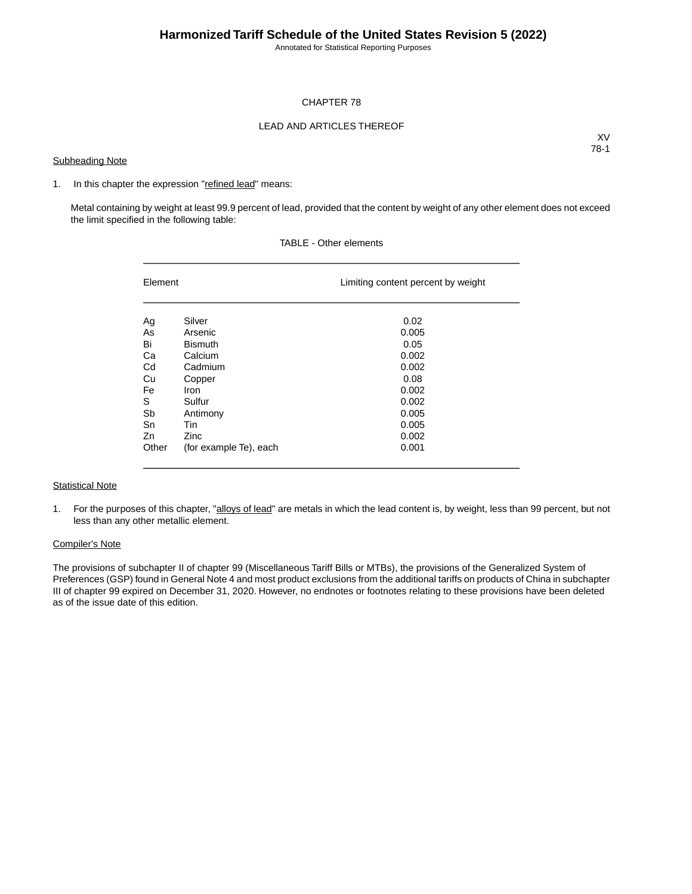Annotated for Statistical Reporting Purposes

## CHAPTER 78

## LEAD AND ARTICLES THEREOF

### **Subheading Note**

XV 78-1

#### 1. In this chapter the expression "refined lead" means:

Metal containing by weight at least 99.9 percent of lead, provided that the content by weight of any other element does not exceed the limit specified in the following table:

| Element |                        | Limiting content percent by weight |  |  |  |
|---------|------------------------|------------------------------------|--|--|--|
| Ag      | Silver                 | 0.02                               |  |  |  |
| As      | Arsenic                | 0.005                              |  |  |  |
| Bi      | <b>Bismuth</b>         | 0.05                               |  |  |  |
| Ca      | Calcium                | 0.002                              |  |  |  |
| Cd      | Cadmium                | 0.002                              |  |  |  |
| Cu      | Copper                 | 0.08                               |  |  |  |
| Fe      | Iron                   | 0.002                              |  |  |  |
| S       | Sulfur                 | 0.002                              |  |  |  |
| Sb      | Antimony               | 0.005                              |  |  |  |
| Sn      | Tin                    | 0.005                              |  |  |  |
| Zn      | Zinc                   | 0.002                              |  |  |  |
| Other   | (for example Te), each | 0.001                              |  |  |  |

## TABLE - Other elements

### **Statistical Note**

1. For the purposes of this chapter, "alloys of lead" are metals in which the lead content is, by weight, less than 99 percent, but not less than any other metallic element.

#### Compiler's Note

The provisions of subchapter II of chapter 99 (Miscellaneous Tariff Bills or MTBs), the provisions of the Generalized System of Preferences (GSP) found in General Note 4 and most product exclusions from the additional tariffs on products of China in subchapter III of chapter 99 expired on December 31, 2020. However, no endnotes or footnotes relating to these provisions have been deleted as of the issue date of this edition.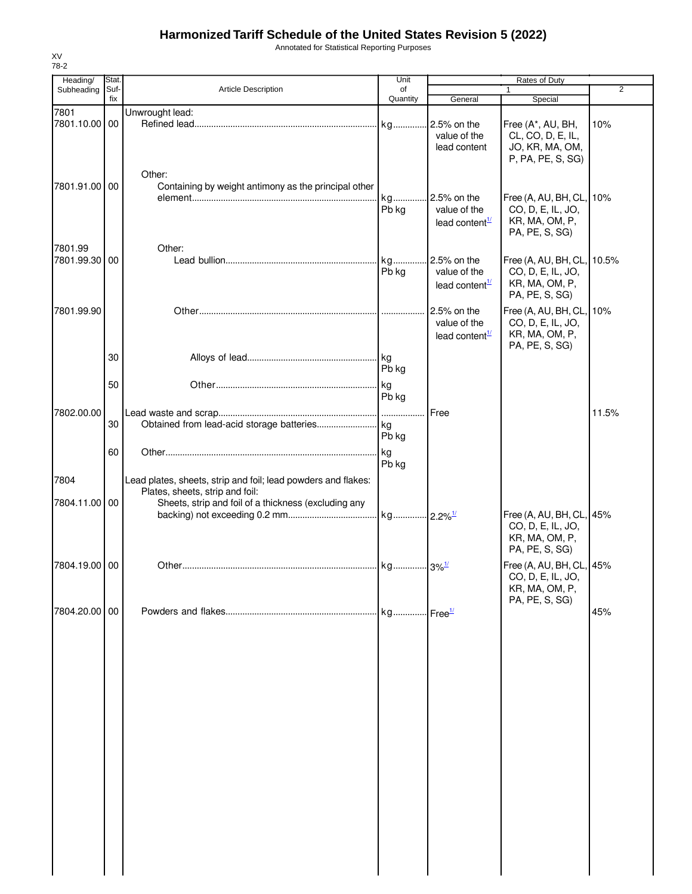## **Harmonized Tariff Schedule of the United States Revision 5 (2022)**

Annotated for Statistical Reporting Purposes

| Heading/              | Stat.       |                                                                | Unit                 |                                                           |                                                                                     |       |
|-----------------------|-------------|----------------------------------------------------------------|----------------------|-----------------------------------------------------------|-------------------------------------------------------------------------------------|-------|
| Subheading            | Suf-<br>fix | <b>Article Description</b>                                     | of<br>Quantity       | General                                                   | $\mathbf{1}$<br>Special                                                             | 2     |
| 7801<br>7801.10.00 00 |             | Unwrought lead:                                                | kg                   | 2.5% on the<br>value of the<br>lead content               | Free (A*, AU, BH,<br>CL, CO, D, E, IL,<br>JO, KR, MA, OM,                           | 10%   |
| 7801.91.00 00         |             | Other:<br>Containing by weight antimony as the principal other | kg<br>Pb kg          | 2.5% on the<br>value of the                               | P, PA, PE, S, SG)<br>Free (A, AU, BH, CL, 10%<br>CO, D, E, IL, JO,                  |       |
| 7801.99               |             | Other:                                                         |                      | lead content $\frac{1}{1}$                                | KR, MA, OM, P,<br>PA, PE, S, SG)                                                    |       |
| 7801.99.30 00         |             |                                                                | kg<br>Pb kg          | 2.5% on the<br>value of the<br>lead content $\frac{1}{2}$ | Free (A, AU, BH, CL, 10.5%<br>CO, D, E, IL, JO,<br>KR, MA, OM, P,<br>PA, PE, S, SG) |       |
| 7801.99.90            |             |                                                                |                      | 2.5% on the<br>value of the<br>lead content <sup>1/</sup> | Free (A, AU, BH, CL,<br>CO, D, E, IL, JO,<br>KR, MA, OM, P,<br>PA, PE, S, SG)       | 10%   |
|                       | 30<br>50    |                                                                | Pb kg                |                                                           |                                                                                     |       |
| 7802.00.00            | 30          |                                                                | Pb kg                | Free                                                      |                                                                                     | 11.5% |
|                       | 60          |                                                                | Pb kg<br>kg<br>Pb kg |                                                           |                                                                                     |       |
| 7804                  |             | Lead plates, sheets, strip and foil; lead powders and flakes:  |                      |                                                           |                                                                                     |       |
|                       |             | Plates, sheets, strip and foil:                                |                      |                                                           |                                                                                     |       |
| 7804.11.00 00         |             | Sheets, strip and foil of a thickness (excluding any           |                      |                                                           | Free (A, AU, BH, CL, 45%<br>CO, D, E, IL, JO,<br>KR, MA, OM, P,<br>PA, PE, S, SG)   |       |
| 7804.19.00 00         |             |                                                                |                      |                                                           | Free (A, AU, BH, CL, 45%<br>CO, D, E, IL, JO,<br>KR, MA, OM, P,                     |       |
| 7804.20.00 00         |             |                                                                |                      |                                                           | PA, PE, S, SG)                                                                      | 45%   |
|                       |             |                                                                |                      |                                                           |                                                                                     |       |
|                       |             |                                                                |                      |                                                           |                                                                                     |       |
|                       |             |                                                                |                      |                                                           |                                                                                     |       |
|                       |             |                                                                |                      |                                                           |                                                                                     |       |
|                       |             |                                                                |                      |                                                           |                                                                                     |       |
|                       |             |                                                                |                      |                                                           |                                                                                     |       |

XV 78-2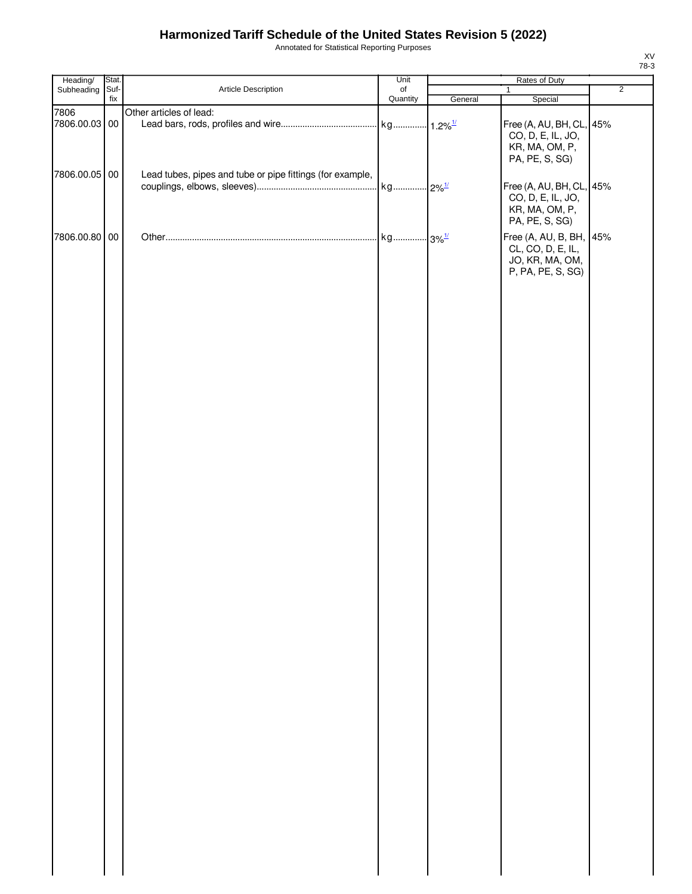# **Harmonized Tariff Schedule of the United States Revision 5 (2022)**

Annotated for Statistical Reporting Purposes

| Heading/      | Stat.       |                                                           | Unit                  |         |                                                                                                        |                |
|---------------|-------------|-----------------------------------------------------------|-----------------------|---------|--------------------------------------------------------------------------------------------------------|----------------|
| Subheading    | Suf-<br>fix | Article Description                                       | $\circ$ f<br>Quantity | General | 1<br>Special                                                                                           | $\overline{2}$ |
| 7806          |             | Other articles of lead:                                   |                       |         |                                                                                                        |                |
| 7806.00.03 00 |             |                                                           |                       |         | Free (A, AU, BH, CL, 45%<br>CO, D, E, IL, JO,<br>KR, MA, OM, P,                                        |                |
| 7806.00.05 00 |             | Lead tubes, pipes and tube or pipe fittings (for example, |                       |         | PA, PE, S, SG)<br>Free (A, AU, BH, CL, 45%<br>CO, D, E, IL, JO,<br>KR, MA, OM, P,                      |                |
| 7806.00.80 00 |             |                                                           |                       |         | PA, PE, S, SG)<br>Free (A, AU, B, BH, 45%<br>CL, CO, D, E, IL,<br>JO, KR, MA, OM,<br>P, PA, PE, S, SG) |                |
|               |             |                                                           |                       |         |                                                                                                        |                |
|               |             |                                                           |                       |         |                                                                                                        |                |
|               |             |                                                           |                       |         |                                                                                                        |                |
|               |             |                                                           |                       |         |                                                                                                        |                |
|               |             |                                                           |                       |         |                                                                                                        |                |
|               |             |                                                           |                       |         |                                                                                                        |                |
|               |             |                                                           |                       |         |                                                                                                        |                |
|               |             |                                                           |                       |         |                                                                                                        |                |
|               |             |                                                           |                       |         |                                                                                                        |                |
|               |             |                                                           |                       |         |                                                                                                        |                |

XV 78-3